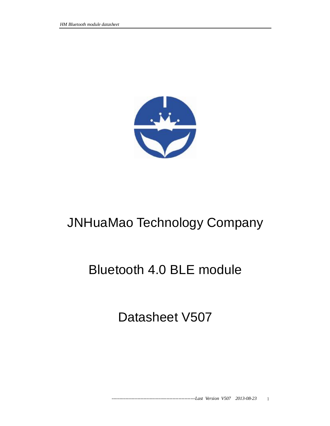

# JNHuaMao Technology Company

# Bluetooth 4.0 BLE module

Datasheet V507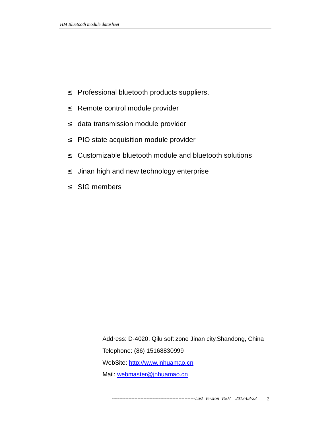- ² Professional bluetooth products suppliers.
- <sup>2</sup> Remote control module provider
- <sup>2</sup> data transmission module provider
- ² PIO state acquisition module provider
- ² Customizable bluetooth module and bluetooth solutions
- <sup>2</sup> Jinan high and new technology enterprise
- ² SIG members

Address: D-4020, Qilu soft zone Jinan city,Shandong, China Telephone: (86) 15168830999 WebSite:<http://www.jnhuamao.cn> Mail: [webmaster@jnhuamao.cn](mailto:webmaster@jnhuamao.cn)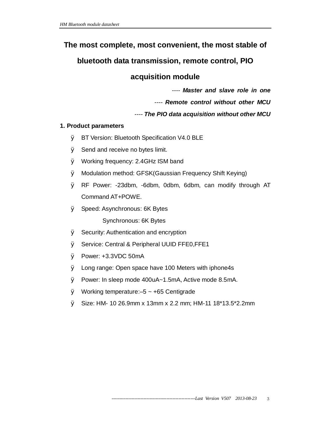# **The most complete, most convenient, the most stable of**

# **bluetooth data transmission, remote control, PIO**

# **acquisition module**

*---- Master and slave role in one* 

*---- Remote control without other MCU* 

*---- The PIO data acquisition without other MCU* 

## **1. Product parameters**

- Ø BT Version: Bluetooth Specification V4.0 BLE
- Ø Send and receive no bytes limit.
- Ø Working frequency: 2.4GHz ISM band
- Ø Modulation method: GFSK(Gaussian Frequency Shift Keying)
- Ø RF Power: -23dbm, -6dbm, 0dbm, 6dbm, can modify through AT Command AT+POWE.
- Ø Speed: Asynchronous: 6K Bytes

Synchronous: 6K Bytes

- Ø Security: Authentication and encryption
- Ø Service: Central & Peripheral UUID FFE0,FFE1
- Ø Power: +3.3VDC 50mA
- Ø Long range: Open space have 100 Meters with iphone4s
- Ø Power: In sleep mode 400uA~1.5mA, Active mode 8.5mA.
- $\emptyset$  Working temperature: -5 ~ +65 Centigrade
- Ø Size: HM- 10 26.9mm x 13mm x 2.2 mm; HM-11 18\*13.5\*2.2mm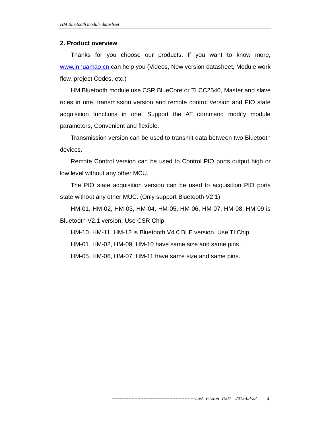#### **2. Product overview**

Thanks for you choose our products. If you want to know more, [www.jnhuamao.cn](http://www.jnhuamao.cn) can help you (Videos, New version datasheet, Module work flow, project Codes, etc.)

HM Bluetooth module use CSR BlueCore or TI CC2540, Master and slave roles in one, transmission version and remote control version and PIO state acquisition functions in one, Support the AT command modify module parameters, Convenient and flexible.

Transmission version can be used to transmit data between two Bluetooth devices.

Remote Control version can be used to Control PIO ports output high or low level without any other MCU.

The PIO state acquisition version can be used to acquisition PIO ports state without any other MUC. (Only support Bluetooth V2.1)

HM-01, HM-02, HM-03, HM-04, HM-05, HM-06, HM-07, HM-08, HM-09 is Bluetooth V2.1 version. Use CSR Chip.

HM-10, HM-11, HM-12 is Bluetooth V4.0 BLE version. Use TI Chip.

HM-01, HM-02, HM-09, HM-10 have same size and same pins.

HM-05, HM-06, HM-07, HM-11 have same size and same pins.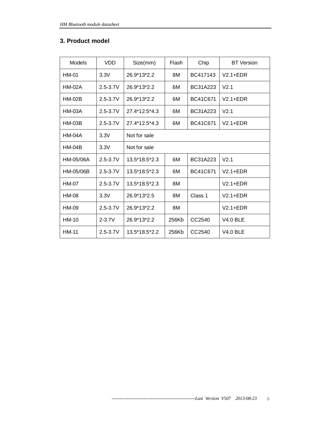#### **3. Product model**

| Models        | <b>VDD</b>   | Size(mm)      | Flash | Chip     | <b>BT</b> Version |
|---------------|--------------|---------------|-------|----------|-------------------|
| HM-01         | 3.3V         | 26.9*13*2.2   | 8M    | BC417143 | $V2.1 + EDR$      |
| <b>HM-02A</b> | $2.5 - 3.7V$ | 26.9*13*2.2   | 6M    | BC31A223 | V <sub>2.1</sub>  |
| $HM-02B$      | $2.5 - 3.7V$ | 26.9*13*2.2   | 6M    | BC41C671 | $V2.1 + EDR$      |
| <b>HM-03A</b> | $2.5 - 3.7V$ | 27.4*12.5*4.3 | 6M    | BC31A223 | V <sub>2.1</sub>  |
| <b>HM-03B</b> | $2.5 - 3.7V$ | 27.4*12.5*4.3 | 6M    | BC41C671 | $V2.1 + EDR$      |
| <b>HM-04A</b> | 3.3V         | Not for sale  |       |          |                   |
| $HM-04B$      | 3.3V         | Not for sale  |       |          |                   |
| HM-05/06A     | $2.5 - 3.7V$ | 13.5*18.5*2.3 | 6M    | BC31A223 | V <sub>2.1</sub>  |
| HM-05/06B     | $2.5 - 3.7V$ | 13.5*18.5*2.3 | 6M    | BC41C671 | $V2.1 + EDR$      |
| <b>HM-07</b>  | $2.5 - 3.7V$ | 13.5*18.5*2.3 | 8M    |          | $V2.1 + EDR$      |
| <b>HM-08</b>  | 3.3V         | 26.9*13*2.5   | 8M    | Class 1  | $V2.1 + EDR$      |
| HM-09         | $2.5 - 3.7V$ | 26.9*13*2.2   | 8M    |          | $V2.1 + EDR$      |
| $HM-10$       | $2 - 3.7V$   | 26.9*13*2.2   | 256Kb | CC2540   | $V4.0$ BLE        |
| <b>HM-11</b>  | $2.5 - 3.7V$ | 13.5*18.5*2.2 | 256Kb | CC2540   | $V4.0$ BLE        |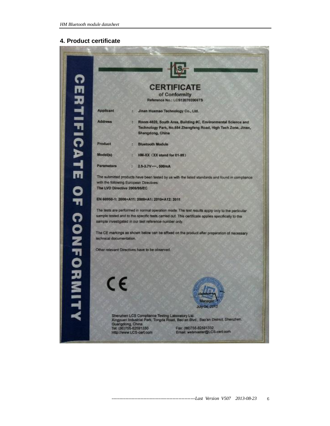#### **4. Product certificate**

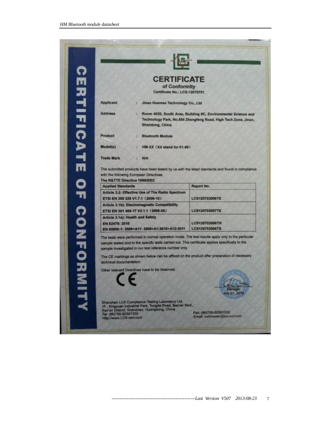| <b>CERTIFICATE</b>       |                                                                                                                                                                                                              |                                                                                                                                                                                                 |
|--------------------------|--------------------------------------------------------------------------------------------------------------------------------------------------------------------------------------------------------------|-------------------------------------------------------------------------------------------------------------------------------------------------------------------------------------------------|
|                          | <b>CERTIFICATE</b>                                                                                                                                                                                           |                                                                                                                                                                                                 |
|                          | of Conformity                                                                                                                                                                                                |                                                                                                                                                                                                 |
|                          | Certificate No.: LCS-12070701                                                                                                                                                                                |                                                                                                                                                                                                 |
| Applicant                | Jinan Huamao Technology Co., Ltd<br>t.                                                                                                                                                                       |                                                                                                                                                                                                 |
| <b>Address</b>           | ă.<br>Shandong, China                                                                                                                                                                                        | Room 4020, South Area, Building #C, Environmental Science and<br>Technology Park, No.554 Zhengfeng Road, High Tech Zone, Jinan,                                                                 |
| Product                  | <b>Bluetooth Module</b>                                                                                                                                                                                      |                                                                                                                                                                                                 |
| Model(s)                 | HM-XX (XX stand for 01-99)                                                                                                                                                                                   |                                                                                                                                                                                                 |
| <b>Trade Mark</b>        | <b>N/A</b><br>ы                                                                                                                                                                                              |                                                                                                                                                                                                 |
|                          |                                                                                                                                                                                                              | The submitted products have been tested by us with the listed standards and found in compliance                                                                                                 |
|                          | with the following European Directives:                                                                                                                                                                      |                                                                                                                                                                                                 |
|                          | The R&TTE Directive 1999/5/EC                                                                                                                                                                                |                                                                                                                                                                                                 |
| <b>Applied Standards</b> |                                                                                                                                                                                                              | Report No.                                                                                                                                                                                      |
|                          | Article 3.2: Effective Use of The Radio Spectrum<br>ETSI EN 300 328 V1.7.1 (2006-10)                                                                                                                         | LCS120702006TE                                                                                                                                                                                  |
|                          | Article 3.1b): Electromagnetic Compatibility<br>ETSI EN 301 489-17 V2.1.1 (2009-05)                                                                                                                          | LCS120702007TE                                                                                                                                                                                  |
| EN 62479: 2010           | Article 3.1a): Health and Safety<br>EN 60950-1: 2006+A11: 2009+A1:2010+A12:2011                                                                                                                              | LCS120702006TH<br>LCS120702006TS                                                                                                                                                                |
|                          | sample tested and to the specific tests carried out. This contricate applies specifically to the<br>sample investigated in our test reference number only.<br>Other relevant Directives have to be observed. | The tests were performed in normal operation mode. The test results apply only to the particular<br>The CE markings as shown below can be affixed on the product after preparation of necessary |
| technical documentation  | Shenzhen LCS Compliance Testing Laboratory Ltd.<br>1F., Xingyuan Industrial Park, Tongda Road, Bao'an Blvd.,                                                                                                 | uly 07, 20                                                                                                                                                                                      |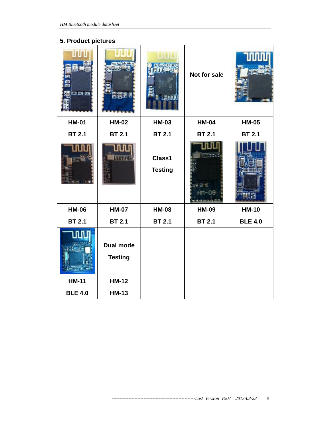## **5. Product pictures**

| <b>All</b><br><b>ES 24 ES</b> | <b>ASTER</b>                       | 3.137                    | Not for sale  |                |
|-------------------------------|------------------------------------|--------------------------|---------------|----------------|
| <b>HM-01</b>                  | <b>HM-02</b>                       | <b>HM-03</b>             | <b>HM-04</b>  | <b>HM-05</b>   |
| <b>BT 2.1</b>                 | <b>BT 2.1</b>                      | <b>BT 2.1</b>            | <b>BT 2.1</b> | <b>BT 2.1</b>  |
|                               |                                    | Class1<br><b>Testing</b> |               |                |
| <b>HM-06</b>                  | <b>HM-07</b>                       | <b>HM-08</b>             | <b>HM-09</b>  | <b>HM-10</b>   |
| <b>BT 2.1</b>                 | <b>BT 2.1</b>                      | <b>BT 2.1</b>            | <b>BT 2.1</b> | <b>BLE 4.0</b> |
|                               | <b>Dual mode</b><br><b>Testing</b> |                          |               |                |
| <b>HM-11</b>                  | <b>HM-12</b>                       |                          |               |                |
| <b>BLE 4.0</b>                | <b>HM-13</b>                       |                          |               |                |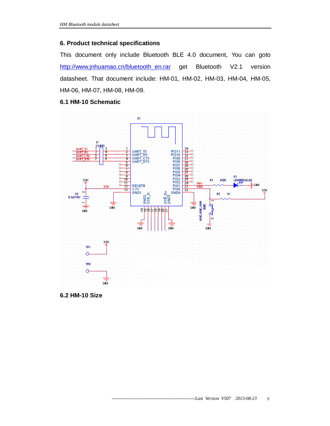#### **6. Product technical specifications**

This document only include Bluetooth BLE 4.0 document, You can goto http://www.jnhuamao.cn/bluetooth en.rar get Bluetooth V2.1 version datasheet. That document include: HM-01, HM-02, HM-03, HM-04, HM-05, HM-06, HM-07, HM-08, HM-09.

#### **6.1 HM-10 Schematic**



**6.2 HM-10 Size**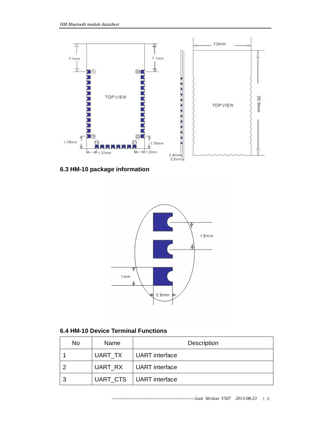

**6.3 HM-10 package information** 



## **6.4 HM-10 Device Terminal Functions**

| No | <b>Name</b> | <b>Description</b>        |
|----|-------------|---------------------------|
|    | UART TX     | UART interface            |
|    | UART_RX     | UART interface            |
| ີ  |             | UART_CTS   UART interface |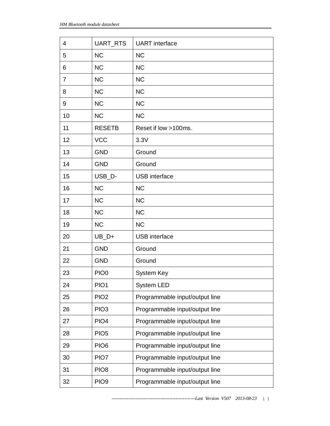| 4              | UART_RTS         | <b>UART</b> interface          |
|----------------|------------------|--------------------------------|
| 5              | <b>NC</b>        | <b>NC</b>                      |
| 6              | <b>NC</b>        | <b>NC</b>                      |
| $\overline{7}$ | <b>NC</b>        | <b>NC</b>                      |
| 8              | <b>NC</b>        | <b>NC</b>                      |
| 9              | <b>NC</b>        | <b>NC</b>                      |
| 10             | <b>NC</b>        | <b>NC</b>                      |
| 11             | <b>RESETB</b>    | Reset if low >100ms.           |
| 12             | <b>VCC</b>       | 3.3V                           |
| 13             | <b>GND</b>       | Ground                         |
| 14             | <b>GND</b>       | Ground                         |
| 15             | USB D-           | <b>USB</b> interface           |
| 16             | <b>NC</b>        | <b>NC</b>                      |
| 17             | <b>NC</b>        | <b>NC</b>                      |
| 18             | <b>NC</b>        | <b>NC</b>                      |
| 19             | <b>NC</b>        | <b>NC</b>                      |
| 20             | $UB_D+$          | <b>USB</b> interface           |
| 21             | <b>GND</b>       | Ground                         |
| 22             | <b>GND</b>       | Ground                         |
| 23             | PIO <sub>0</sub> | System Key                     |
| 24             | PIO <sub>1</sub> | <b>System LED</b>              |
| 25             | PIO <sub>2</sub> | Programmable input/output line |
| 26             | PIO <sub>3</sub> | Programmable input/output line |
| 27             | PIO <sub>4</sub> | Programmable input/output line |
| 28             | PIO <sub>5</sub> | Programmable input/output line |
| 29             | PIO <sub>6</sub> | Programmable input/output line |
| 30             | PIO7             | Programmable input/output line |
| 31             | PIO <sub>8</sub> | Programmable input/output line |
| 32             | PIO <sub>9</sub> | Programmable input/output line |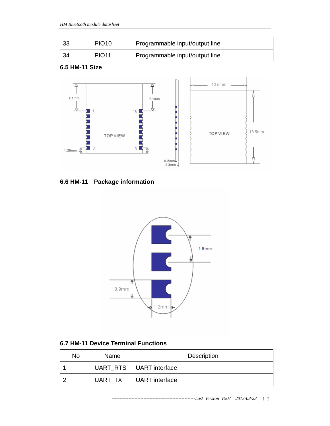| 33 | PIO <sub>10</sub> | Programmable input/output line |
|----|-------------------|--------------------------------|
| 34 | <b>PIO11</b>      | Programmable input/output line |

#### **6.5 HM-11 Size**



# **6.6 HM-11 Package information**



## **6.7 HM-11 Device Terminal Functions**

| No | <b>Name</b> | <b>Description</b>        |
|----|-------------|---------------------------|
|    |             | UART_RTS   UART interface |
|    | UART TX     | UART interface            |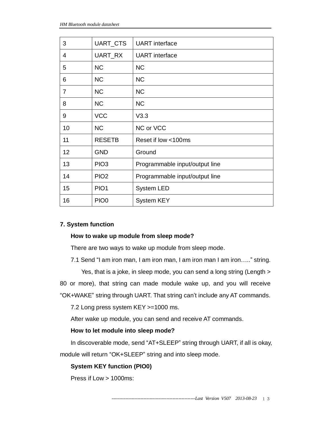| 3  | UART_CTS         | <b>UART</b> interface          |
|----|------------------|--------------------------------|
| 4  | UART_RX          | <b>UART</b> interface          |
| 5  | <b>NC</b>        | <b>NC</b>                      |
| 6  | <b>NC</b>        | <b>NC</b>                      |
| 7  | <b>NC</b>        | <b>NC</b>                      |
| 8  | <b>NC</b>        | <b>NC</b>                      |
| 9  | <b>VCC</b>       | V3.3                           |
| 10 | <b>NC</b>        | NC or VCC                      |
| 11 | <b>RESETB</b>    | Reset if low <100ms            |
| 12 | <b>GND</b>       | Ground                         |
| 13 | PIO <sub>3</sub> | Programmable input/output line |
| 14 | PIO <sub>2</sub> | Programmable input/output line |
| 15 | PIO <sub>1</sub> | System LED                     |
| 16 | PIO <sub>0</sub> | <b>System KEY</b>              |

#### **7. System function**

#### **How to wake up module from sleep mode?**

There are two ways to wake up module from sleep mode.

7.1 Send "I am iron man, I am iron man, I am iron man I am iron….." string.

Yes, that is a joke, in sleep mode, you can send a long string (Length >

80 or more), that string can made module wake up, and you will receive

"OK+WAKE" string through UART. That string can't include any AT commands.

7.2 Long press system KEY >=1000 ms.

After wake up module, you can send and receive AT commands.

#### **How to let module into sleep mode?**

In discoverable mode, send "AT+SLEEP" string through UART, if all is okay,

module will return "OK+SLEEP" string and into sleep mode.

#### **System KEY function (PIO0)**

Press if Low > 1000ms: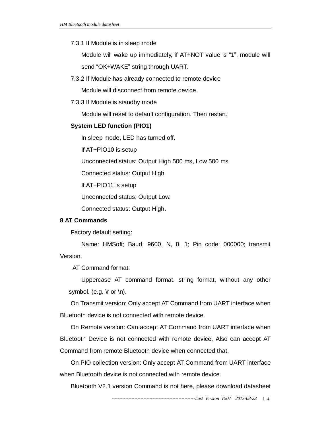#### 7.3.1 If Module is in sleep mode

Module will wake up immediately, if AT+NOT value is "1", module will send "OK+WAKE" string through UART.

7.3.2 If Module has already connected to remote device

Module will disconnect from remote device.

7.3.3 If Module is standby mode

Module will reset to default configuration. Then restart.

#### **System LED function (PIO1)**

In sleep mode, LED has turned off.

If AT+PIO10 is setup

Unconnected status: Output High 500 ms, Low 500 ms

Connected status: Output High

If AT+PIO11 is setup

Unconnected status: Output Low.

Connected status: Output High.

#### **8 AT Commands**

Factory default setting:

Name: HMSoft; Baud: 9600, N, 8, 1; Pin code: 000000; transmit Version.

AT Command format:

Uppercase AT command format. string format, without any other symbol. (e.g.  $\forall$ r or  $\forall$ n).

On Transmit version: Only accept AT Command from UART interface when Bluetooth device is not connected with remote device.

On Remote version: Can accept AT Command from UART interface when Bluetooth Device is not connected with remote device, Also can accept AT Command from remote Bluetooth device when connected that.

On PIO collection version: Only accept AT Command from UART interface when Bluetooth device is not connected with remote device.

Bluetooth V2.1 version Command is not here, please download datasheet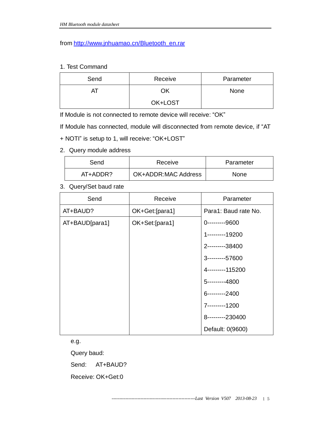from [http://www.jnhuamao.cn/Bluetooth\\_en.rar](http://www.jnhuamao.cn/Bluetooth_en.rar)

#### 1. Test Command

| Send | Receive | Parameter |
|------|---------|-----------|
|      | ΟK      | None      |
|      | OK+LOST |           |

If Module is not connected to remote device will receive: "OK"

If Module has connected, module will disconnected from remote device, if "AT

- + NOTI" is setup to 1, will receive: "OK+LOST"
- 2. Query module address

| Send     | Receive                    | Parameter   |
|----------|----------------------------|-------------|
| AT+ADDR? | <b>OK+ADDR:MAC Address</b> | <b>None</b> |

3. Query/Set baud rate

| Send           | Receive        | Parameter            |
|----------------|----------------|----------------------|
| AT+BAUD?       | OK+Get:[para1] | Para1: Baud rate No. |
| AT+BAUD[para1] | OK+Set:[para1] | 0---------9600       |
|                |                | 1---------19200      |
|                |                | 2---------38400      |
|                |                | 3----------57600     |
|                |                | 4---------115200     |
|                |                | 5---------4800       |
|                |                | 6---------2400       |
|                |                | 7---------1200       |
|                |                | 8---------230400     |
|                |                | Default: 0(9600)     |

e.g.

Query baud:

Send: AT+BAUD?

Receive: OK+Get:0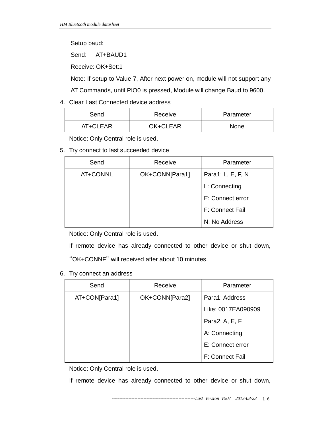Setup baud:

Send: AT+BAUD1

Receive: OK+Set:1

Note: If setup to Value 7, After next power on, module will not support any

AT Commands, until PIO0 is pressed, Module will change Baud to 9600.

### 4. Clear Last Connected device address

| Send     | Receive  | Parameter |
|----------|----------|-----------|
| AT+CLEAR | OK+CLEAR | None      |

Notice: Only Central role is used.

#### 5. Try connect to last succeeded device

| Send     | Receive        | Parameter         |
|----------|----------------|-------------------|
| AT+CONNL | OK+CONN[Para1] | Para1: L, E, F, N |
|          |                | L: Connecting     |
|          |                | E: Connect error  |
|          |                | F: Connect Fail   |
|          |                | N: No Address     |

Notice: Only Central role is used.

If remote device has already connected to other device or shut down,

"OK+CONNF" will received after about 10 minutes.

#### 6. Try connect an address

| Send          | Receive        | Parameter          |
|---------------|----------------|--------------------|
| AT+CON[Para1] | OK+CONN[Para2] | Para1: Address     |
|               |                | Like: 0017EA090909 |
|               |                | Para2: A, E, F     |
|               |                | A: Connecting      |
|               |                | E: Connect error   |
|               |                | F: Connect Fail    |

Notice: Only Central role is used.

If remote device has already connected to other device or shut down,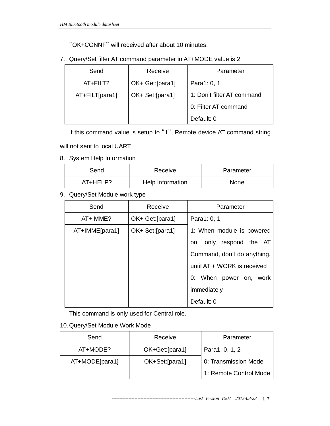"OK+CONNF" will received after about 10 minutes.

7. Query/Set filter AT command parameter in AT+MODE value is 2

| Send           | Receive          | Parameter                  |
|----------------|------------------|----------------------------|
| $AT + FILT?$   | OK+ Get: [para1] | Para1: 0, 1                |
| AT+FILT[para1] | OK+ Set: [para1] | 1: Don't filter AT command |
|                |                  | 0: Filter AT command       |
|                |                  | Default: 0                 |

If this command value is setup to "1", Remote device AT command string

will not sent to local UART.

8. System Help Information

| Send      | Receive          | Parameter   |
|-----------|------------------|-------------|
| AT+HFI P? | Help Information | <b>None</b> |

9. Query/Set Module work type

| Send           | Receive          | Parameter                   |
|----------------|------------------|-----------------------------|
| AT+IMME?       | OK+ Get: [para1] | Para1: 0, 1                 |
| AT+IMME[para1] | OK+ Set: [para1] | 1: When module is powered   |
|                |                  | only respond the AT<br>on,  |
|                |                  | Command, don't do anything. |
|                |                  | until AT + WORK is received |
|                |                  | 0: When power on, work      |
|                |                  | immediately                 |
|                |                  | Default: 0                  |

This command is only used for Central role.

## 10.Query/Set Module Work Mode

| Send           | Receive        | Parameter              |
|----------------|----------------|------------------------|
| AT+MODE?       | OK+Get:[para1] | Para1: 0, 1, 2         |
| AT+MODE[para1] | OK+Set:[para1] | 0: Transmission Mode   |
|                |                | 1: Remote Control Mode |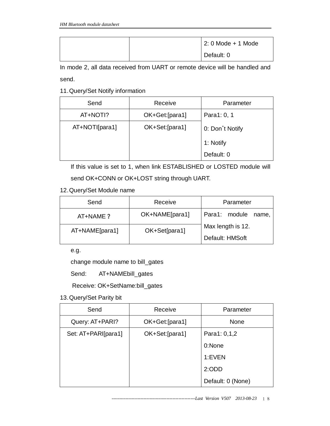|  | $\vert$ 2: 0 Mode + 1 Mode |
|--|----------------------------|
|  | Default: 0                 |

In mode 2, all data received from UART or remote device will be handled and

send.

11.Query/Set Notify information

| Send           | Receive        | Parameter       |
|----------------|----------------|-----------------|
| AT+NOTI?       | OK+Get:[para1] | Para1: 0, 1     |
| AT+NOTI[para1] | OK+Set:[para1] | 0: Don't Notify |
|                |                | 1: Notify       |
|                |                | Default: 0      |

If this value is set to 1, when link ESTABLISHED or LOSTED module will

send OK+CONN or OK+LOST string through UART.

12.Query/Set Module name

| Send           | Receive        | Parameter              |
|----------------|----------------|------------------------|
| AT+NAME ?      | OK+NAME[para1] | Para1: module<br>name, |
| AT+NAME[para1] | OK+Set[para1]  | Max length is 12.      |
|                |                | Default: HMSoft        |

e.g.

change module name to bill\_gates

Send: AT+NAMEbill\_gates

Receive: OK+SetName:bill\_gates

13.Query/Set Parity bit

| Send                | Receive        | Parameter         |
|---------------------|----------------|-------------------|
| Query: AT+PARI?     | OK+Get:[para1] | None              |
| Set: AT+PARI[para1] | OK+Set:[para1] | Para1: 0,1,2      |
|                     |                | 0:None            |
|                     |                | 1:EVEN            |
|                     |                | 2:ODD             |
|                     |                | Default: 0 (None) |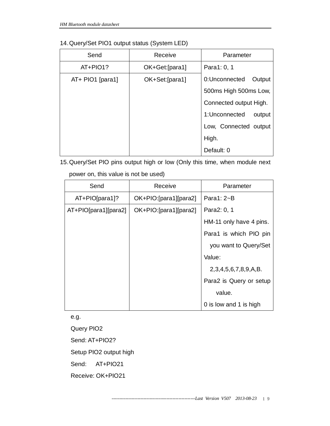| Send               | Receive         | Parameter               |
|--------------------|-----------------|-------------------------|
| AT+PIO1?           | OK+Get:[para1]  | Para1: 0, 1             |
| $AT+$ PIO1 [para1] | OK+Set: [para1] | 0:Unconnected<br>Output |
|                    |                 | 500ms High 500ms Low,   |
|                    |                 | Connected output High.  |
|                    |                 | 1:Unconnected<br>output |
|                    |                 | Low, Connected output   |
|                    |                 | High.                   |
|                    |                 | Default: 0              |

15.Query/Set PIO pins output high or low (Only this time, when module next

power on, this value is not be used)

| Send                 | Receive               | Parameter               |
|----------------------|-----------------------|-------------------------|
| $AT+PIO[para1]$ ?    | OK+PIO:[para1][para2] | Para1: $2\neg B$        |
| AT+PIO[para1][para2] | OK+PIO:[para1][para2] | Para2: 0, 1             |
|                      |                       | HM-11 only have 4 pins. |
|                      |                       | Para1 is which PIO pin  |
|                      |                       | you want to Query/Set   |
|                      |                       | Value:                  |
|                      |                       | 2,3,4,5,6,7,8,9,A,B.    |
|                      |                       | Para2 is Query or setup |
|                      |                       | value.                  |
|                      |                       | 0 is low and 1 is high  |

e.g.

Query PIO2

Send: AT+PIO2?

Setup PIO2 output high

Send: AT+PIO21

Receive: OK+PIO21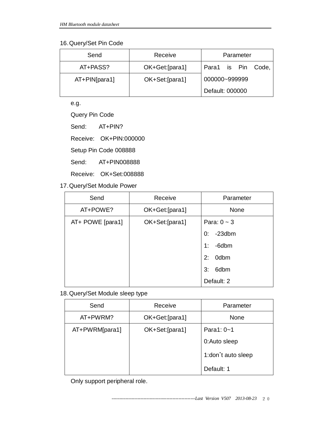### 16.Query/Set Pin Code

| Send              | Receive        | Parameter          |
|-------------------|----------------|--------------------|
| AT+PASS?          | OK+Get:[para1] | Para1 is Pin Code, |
| $AT + PIN[para1]$ | OK+Set:[para1] | 000000~999999      |
|                   |                | Default: 000000    |

e.g.

Query Pin Code

Send: AT+PIN?

Receive: OK+PIN:000000

Setup Pin Code 008888

Send: AT+PIN008888

Receive: OK+Set:008888

17.Query/Set Module Power

| Send             | Receive        | Parameter        |
|------------------|----------------|------------------|
| AT+POWE?         | OK+Get:[para1] | None             |
| AT+ POWE [para1] | OK+Set:[para1] | Para: $0 \sim 3$ |
|                  |                | $-23$ dbm<br>0:  |
|                  |                | -6dbm<br>1:      |
|                  |                | 0dbm<br>2:       |
|                  |                | 6dbm<br>3:       |
|                  |                | Default: 2       |

18.Query/Set Module sleep type

| Send           | Receive        | Parameter          |
|----------------|----------------|--------------------|
| AT+PWRM?       | OK+Get:[para1] | None               |
| AT+PWRM[para1] | OK+Set:[para1] | Para1: $0 - 1$     |
|                |                | 0:Auto sleep       |
|                |                | 1:don't auto sleep |
|                |                | Default: 1         |

Only support peripheral role.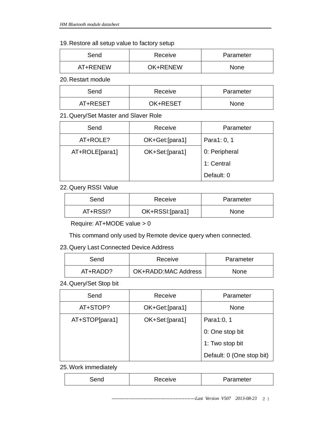#### 19.Restore all setup value to factory setup

| Send     | Receive         | Parameter |
|----------|-----------------|-----------|
| AT+RENEW | <b>OK+RENEW</b> | None      |

20.Restart module

| Send     | Receive  | Parameter |
|----------|----------|-----------|
| AT+RESET | OK+RESET | None      |

21.Query/Set Master and Slaver Role

| Send           | Receive        | Parameter     |
|----------------|----------------|---------------|
| AT+ROLE?       | OK+Get:[para1] | Para1: 0, 1   |
| AT+ROLE[para1] | OK+Set:[para1] | 0: Peripheral |
|                |                | 1: Central    |
|                |                | Default: 0    |

#### 22.Query RSSI Value

| Send     | Receive         | Parameter |
|----------|-----------------|-----------|
| AT+RSSI? | OK+RSSI:[para1] | None      |

Require: AT+MODE value > 0

This command only used by Remote device query when connected.

#### 23.Query Last Connected Device Address

| Send     | Receive             | Parameter   |
|----------|---------------------|-------------|
| AT+RADD? | OK+RADD:MAC Address | <b>None</b> |

24.Query/Set Stop bit

| Send           | Receive        | Parameter                 |
|----------------|----------------|---------------------------|
| AT+STOP?       | OK+Get:[para1] | None                      |
| AT+STOP[para1] | OK+Set:[para1] | Para1:0, 1                |
|                |                | 0: One stop bit           |
|                |                | 1: Two stop bit           |
|                |                | Default: 0 (One stop bit) |

25.Work immediately

| Parameter<br>Receive<br> |
|--------------------------|
|--------------------------|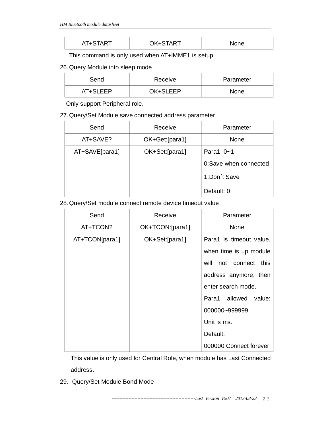| None | AT+START | OK+START |  |
|------|----------|----------|--|
|------|----------|----------|--|

This command is only used when AT+IMME1 is setup.

#### 26.Query Module into sleep mode

| Send     | Receive  | Parameter   |
|----------|----------|-------------|
| AT+SLEEP | OK+SLEEP | <b>None</b> |

Only support Peripheral role.

#### 27.Query/Set Module save connected address parameter

| Send           | Receive        | Parameter             |
|----------------|----------------|-----------------------|
| AT+SAVE?       | OK+Get:[para1] | None                  |
| AT+SAVE[para1] | OK+Set:[para1] | Para1: 0~1            |
|                |                | 0:Save when connected |
|                |                | 1:Don't Save          |
|                |                | Default: 0            |

#### 28.Query/Set module connect remote device timeout value

| Send           | Receive         | Parameter                   |
|----------------|-----------------|-----------------------------|
| AT+TCON?       | OK+TCON:[para1] | <b>None</b>                 |
| AT+TCON[para1] | OK+Set:[para1]  | Para1 is timeout value.     |
|                |                 | when time is up module      |
|                |                 | will<br>not connect<br>this |
|                |                 | address anymore, then       |
|                |                 | enter search mode.          |
|                |                 | Para1 allowed<br>value:     |
|                |                 | 000000~999999               |
|                |                 | Unit is ms.                 |
|                |                 | Default:                    |
|                |                 | 000000 Connect forever      |

This value is only used for Central Role, when module has Last Connected address.

29. Query/Set Module Bond Mode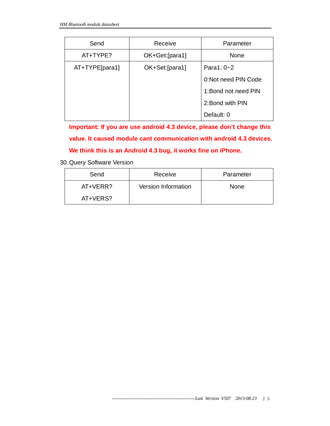| Send             | Receive         | Parameter           |
|------------------|-----------------|---------------------|
| AT+TYPE?         | OK+Get: [para1] | None                |
| $AT+TYPE[para1]$ | OK+Set:[para1]  | Para1: 0~2          |
|                  |                 | 0:Not need PIN Code |
|                  |                 | 1:Bond not need PIN |
|                  |                 | 2: Bond with PIN    |
|                  |                 | Default: 0          |

**Important: If you are use android 4.3 device, please don't change this value. It caused module cant communication with android 4.3 devices. We think this is an Android 4.3 bug, it works fine on iPhone.**

30.Query Software Version

| Send     | Receive             | Parameter   |
|----------|---------------------|-------------|
| AT+VERR? | Version Information | <b>None</b> |
| AT+VERS? |                     |             |